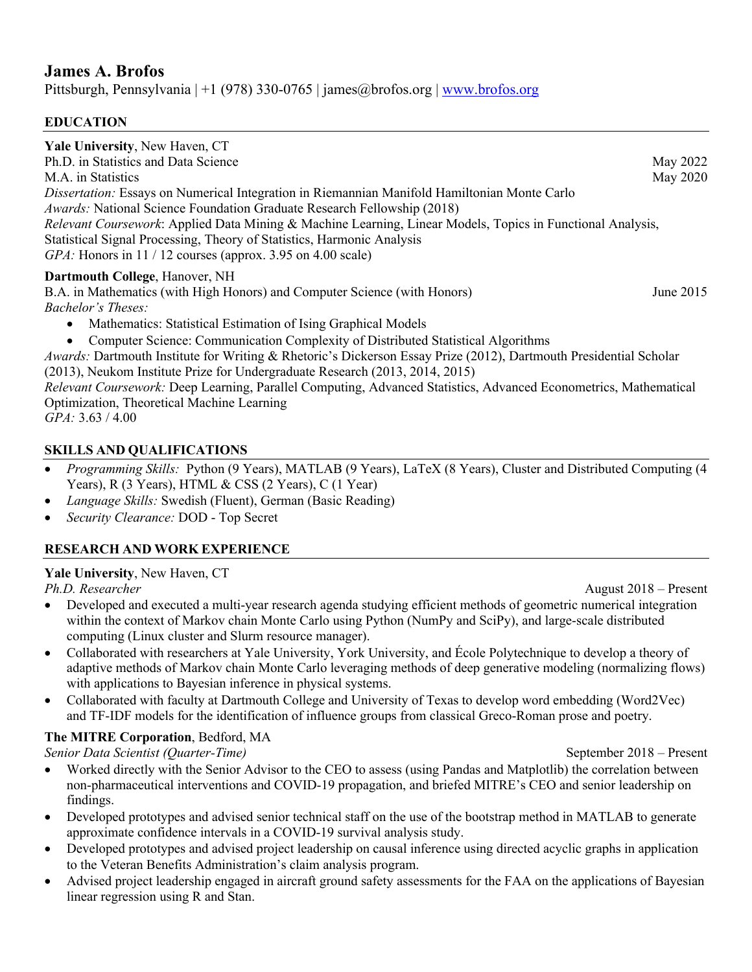## **James A. Brofos**

Pittsburgh, Pennsylvania  $|+1$  (978) 330-0765 | james@brofos.org | www.brofos.org

#### **EDUCATION**

| <b>Yale University, New Haven, CT</b>                                                                      |             |
|------------------------------------------------------------------------------------------------------------|-------------|
| Ph.D. in Statistics and Data Science                                                                       | May 2022    |
| M.A. in Statistics                                                                                         | May 2020    |
| <i>Dissertation:</i> Essays on Numerical Integration in Riemannian Manifold Hamiltonian Monte Carlo        |             |
| <i>Awards:</i> National Science Foundation Graduate Research Fellowship (2018)                             |             |
| Relevant Coursework: Applied Data Mining & Machine Learning, Linear Models, Topics in Functional Analysis, |             |
| Statistical Signal Processing, Theory of Statistics, Harmonic Analysis                                     |             |
| <i>GPA</i> : Honors in 11 / 12 courses (approx. 3.95 on 4.00 scale)                                        |             |
| Dartmouth College, Hanover, NH                                                                             |             |
| B.A. in Mathematics (with High Honors) and Computer Science (with Honors)                                  | June $2015$ |
| <i>Bachelor's Theses:</i>                                                                                  |             |
|                                                                                                            |             |

- Mathematics: Statistical Estimation of Ising Graphical Models
- Computer Science: Communication Complexity of Distributed Statistical Algorithms

*Awards:* Dartmouth Institute for Writing & Rhetoric's Dickerson Essay Prize (2012), Dartmouth Presidential Scholar (2013), Neukom Institute Prize for Undergraduate Research (2013, 2014, 2015)

*Relevant Coursework:* Deep Learning, Parallel Computing, Advanced Statistics, Advanced Econometrics, Mathematical Optimization, Theoretical Machine Learning

*GPA:* 3.63 / 4.00

#### **SKILLS AND QUALIFICATIONS**

- *Programming Skills:* Python (9 Years), MATLAB (9 Years), LaTeX (8 Years), Cluster and Distributed Computing (4 Years), R (3 Years), HTML & CSS (2 Years), C (1 Year)
- *Language Skills:* Swedish (Fluent), German (Basic Reading)
- *Security Clearance:* DOD Top Secret

#### **RESEARCH AND WORK EXPERIENCE**

#### **Yale University**, New Haven, CT

- Developed and executed a multi-year research agenda studying efficient methods of geometric numerical integration within the context of Markov chain Monte Carlo using Python (NumPy and SciPy), and large-scale distributed computing (Linux cluster and Slurm resource manager).
- Collaborated with researchers at Yale University, York University, and École Polytechnique to develop a theory of adaptive methods of Markov chain Monte Carlo leveraging methods of deep generative modeling (normalizing flows) with applications to Bayesian inference in physical systems.
- Collaborated with faculty at Dartmouth College and University of Texas to develop word embedding (Word2Vec) and TF-IDF models for the identification of influence groups from classical Greco-Roman prose and poetry.

#### **The MITRE Corporation**, Bedford, MA

*Senior Data Scientist (Quarter-Time)* September 2018 – Present

- Worked directly with the Senior Advisor to the CEO to assess (using Pandas and Matplotlib) the correlation between non-pharmaceutical interventions and COVID-19 propagation, and briefed MITRE's CEO and senior leadership on findings.
- Developed prototypes and advised senior technical staff on the use of the bootstrap method in MATLAB to generate approximate confidence intervals in a COVID-19 survival analysis study.
- Developed prototypes and advised project leadership on causal inference using directed acyclic graphs in application to the Veteran Benefits Administration's claim analysis program.
- Advised project leadership engaged in aircraft ground safety assessments for the FAA on the applications of Bayesian linear regression using R and Stan.

*Ph.D. Researcher* August 2018 – Present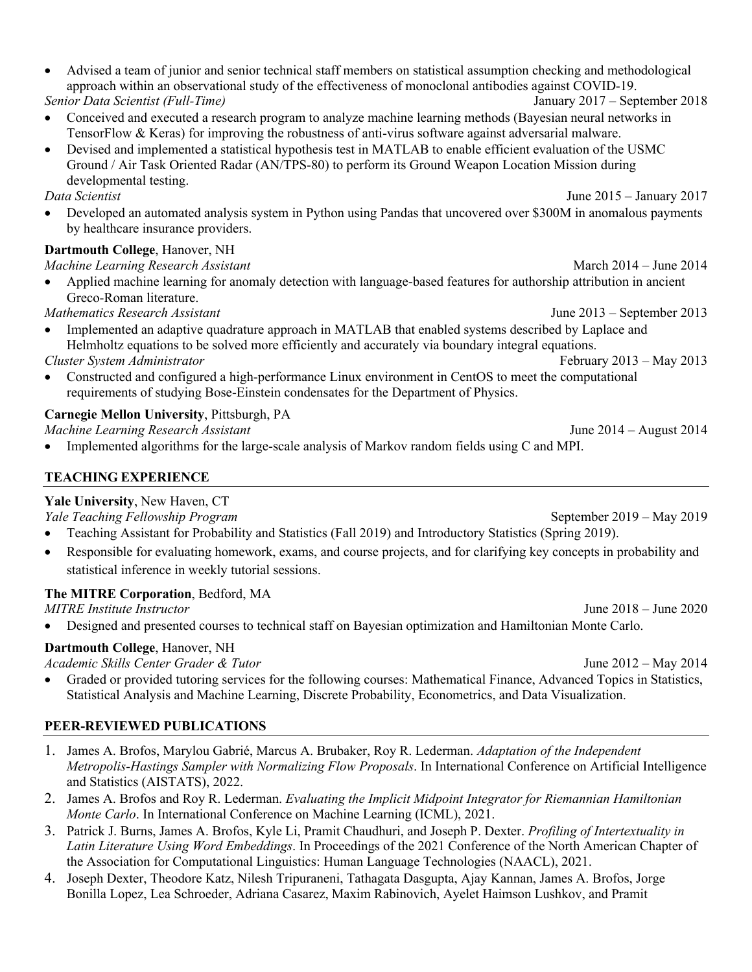| • Advised a team of junior and senior technical staff members on statistical assumption checking and methodological |                                 |  |
|---------------------------------------------------------------------------------------------------------------------|---------------------------------|--|
| approach within an observational study of the effectiveness of monoclonal antibodies against COVID-19.              |                                 |  |
| Senior Data Scientist (Full-Time)                                                                                   | January $2017$ – September 2018 |  |

- Conceived and executed a research program to analyze machine learning methods (Bayesian neural networks in TensorFlow & Keras) for improving the robustness of anti-virus software against adversarial malware.
- Devised and implemented a statistical hypothesis test in MATLAB to enable efficient evaluation of the USMC Ground / Air Task Oriented Radar (AN/TPS-80) to perform its Ground Weapon Location Mission during developmental testing.

*Data Scientist* June 2015 – January 2017

• Developed an automated analysis system in Python using Pandas that uncovered over \$300M in anomalous payments by healthcare insurance providers.

## **Dartmouth College**, Hanover, NH

### *Machine Learning Research Assistant* March 2014 – June 2014

• Applied machine learning for anomaly detection with language-based features for authorship attribution in ancient Greco-Roman literature.

*Mathematics Research Assistant* June 2013 – September 2013

- Implemented an adaptive quadrature approach in MATLAB that enabled systems described by Laplace and Helmholtz equations to be solved more efficiently and accurately via boundary integral equations.
- *Cluster System Administrator* February 2013 May 2013 • Constructed and configured a high-performance Linux environment in CentOS to meet the computational requirements of studying Bose-Einstein condensates for the Department of Physics.

## **Carnegie Mellon University**, Pittsburgh, PA

*Machine Learning Research Assistant* June 2014 – August 2014

• Implemented algorithms for the large-scale analysis of Markov random fields using C and MPI.

### **TEACHING EXPERIENCE**

## **Yale University**, New Haven, CT

*Yale Teaching Fellowship Program* September 2019 – May 2019

- Teaching Assistant for Probability and Statistics (Fall 2019) and Introductory Statistics (Spring 2019).
- Responsible for evaluating homework, exams, and course projects, and for clarifying key concepts in probability and statistical inference in weekly tutorial sessions.

## **The MITRE Corporation**, Bedford, MA

*MITRE Institute Instructor* June 2018 – June 2020

• Designed and presented courses to technical staff on Bayesian optimization and Hamiltonian Monte Carlo.

# **Dartmouth College**, Hanover, NH

*Academic Skills Center Grader & Tutor* June 2012 – May 2014

• Graded or provided tutoring services for the following courses: Mathematical Finance, Advanced Topics in Statistics, Statistical Analysis and Machine Learning, Discrete Probability, Econometrics, and Data Visualization.

# **PEER-REVIEWED PUBLICATIONS**

- 1. James A. Brofos, Marylou Gabrié, Marcus A. Brubaker, Roy R. Lederman. *Adaptation of the Independent Metropolis-Hastings Sampler with Normalizing Flow Proposals*. In International Conference on Artificial Intelligence and Statistics (AISTATS), 2022.
- 2. James A. Brofos and Roy R. Lederman. *Evaluating the Implicit Midpoint Integrator for Riemannian Hamiltonian Monte Carlo*. In International Conference on Machine Learning (ICML), 2021.
- 3. Patrick J. Burns, James A. Brofos, Kyle Li, Pramit Chaudhuri, and Joseph P. Dexter. *Profiling of Intertextuality in Latin Literature Using Word Embeddings*. In Proceedings of the 2021 Conference of the North American Chapter of the Association for Computational Linguistics: Human Language Technologies (NAACL), 2021.
- 4. Joseph Dexter, Theodore Katz, Nilesh Tripuraneni, Tathagata Dasgupta, Ajay Kannan, James A. Brofos, Jorge Bonilla Lopez, Lea Schroeder, Adriana Casarez, Maxim Rabinovich, Ayelet Haimson Lushkov, and Pramit